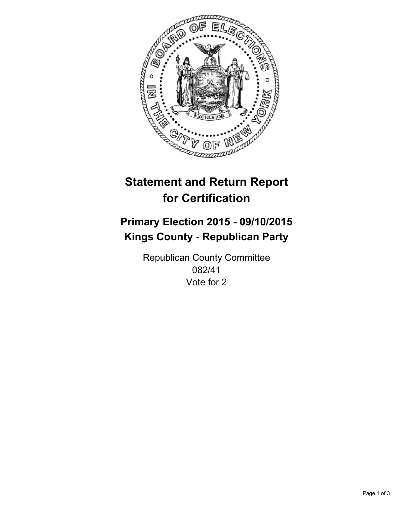

# **Statement and Return Report for Certification**

## **Primary Election 2015 - 09/10/2015 Kings County - Republican Party**

Republican County Committee 082/41 Vote for 2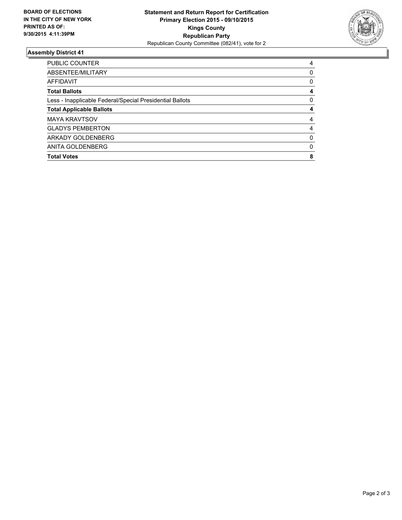

#### **Assembly District 41**

| <b>PUBLIC COUNTER</b>                                    | 4        |
|----------------------------------------------------------|----------|
| ABSENTEE/MILITARY                                        | 0        |
| AFFIDAVIT                                                | 0        |
| <b>Total Ballots</b>                                     | 4        |
| Less - Inapplicable Federal/Special Presidential Ballots | 0        |
| <b>Total Applicable Ballots</b>                          | 4        |
| <b>MAYA KRAVTSOV</b>                                     | 4        |
| <b>GLADYS PEMBERTON</b>                                  | 4        |
| ARKADY GOLDENBERG                                        | 0        |
| ANITA GOLDENBERG                                         | $\Omega$ |
| <b>Total Votes</b>                                       | 8        |